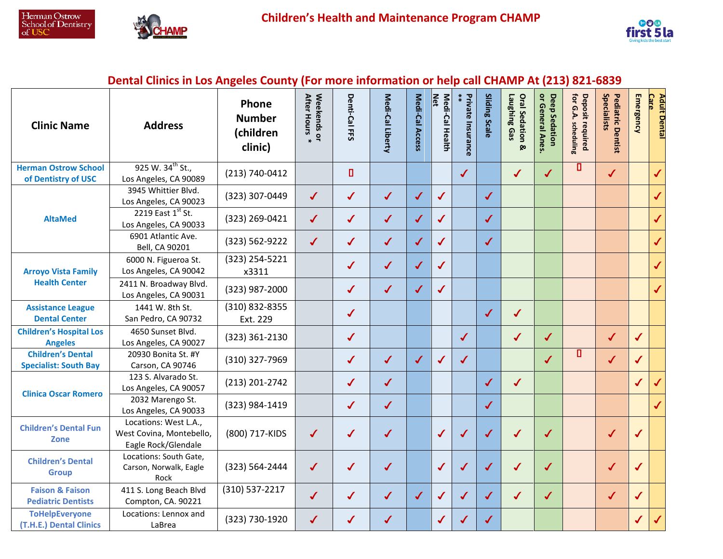



## **Dental Clinics in Los Angeles County (For more information or help call CHAMP At (213) 821-6839**

| <b>Clinic Name</b>                                       | <b>Address</b>                                                           | Phone<br><b>Number</b><br>(children<br>clinic) | Weekends or<br>After Hours | Denti-Cal FFS | Medi-Cal Liberty | Medi-Cal Access | Medi-Cal Health<br>$\frac{1}{2}$ | Private Insurance<br>$**$ | Sliding Scale | Laughing Gas<br><b>Oral Sedation</b><br><b>Ø</b> | or General Anes<br>Deep Sedation | Deposit required<br>for G.A. scheduling | Specialists<br><b>Pediatric Dentist</b> | Emergency    | <b>Care</b><br><b>Adult Dental</b> |
|----------------------------------------------------------|--------------------------------------------------------------------------|------------------------------------------------|----------------------------|---------------|------------------|-----------------|----------------------------------|---------------------------|---------------|--------------------------------------------------|----------------------------------|-----------------------------------------|-----------------------------------------|--------------|------------------------------------|
| <b>Herman Ostrow School</b><br>of Dentistry of USC       | 925 W. 34 <sup>th</sup> St.,<br>Los Angeles, CA 90089                    | (213) 740-0412                                 |                            | П             |                  |                 |                                  | $\checkmark$              |               | $\checkmark$                                     | $\checkmark$                     | 0                                       | $\checkmark$                            |              | $\checkmark$                       |
| <b>AltaMed</b>                                           | 3945 Whittier Blvd.<br>Los Angeles, CA 90023                             | (323) 307-0449                                 | $\checkmark$               | $\checkmark$  | $\checkmark$     | $\checkmark$    | $\checkmark$                     |                           | $\checkmark$  |                                                  |                                  |                                         |                                         |              | $\checkmark$                       |
|                                                          | 2219 East 1st St.<br>Los Angeles, CA 90033                               | (323) 269-0421                                 | $\checkmark$               | $\checkmark$  | $\checkmark$     | $\checkmark$    | $\checkmark$                     |                           | $\checkmark$  |                                                  |                                  |                                         |                                         |              | $\checkmark$                       |
|                                                          | 6901 Atlantic Ave.<br>Bell, CA 90201                                     | (323) 562-9222                                 | $\checkmark$               | $\checkmark$  | $\checkmark$     | $\checkmark$    | $\checkmark$                     |                           | $\checkmark$  |                                                  |                                  |                                         |                                         |              | $\checkmark$                       |
| <b>Arroyo Vista Family</b><br><b>Health Center</b>       | 6000 N. Figueroa St.<br>Los Angeles, CA 90042                            | (323) 254-5221<br>x3311                        |                            | ✔             | $\checkmark$     | $\checkmark$    | $\checkmark$                     |                           |               |                                                  |                                  |                                         |                                         |              | $\checkmark$                       |
|                                                          | 2411 N. Broadway Blvd.<br>Los Angeles, CA 90031                          | (323) 987-2000                                 |                            | $\checkmark$  | $\checkmark$     | $\checkmark$    | $\checkmark$                     |                           |               |                                                  |                                  |                                         |                                         |              | $\checkmark$                       |
| <b>Assistance League</b><br><b>Dental Center</b>         | 1441 W. 8th St.<br>San Pedro, CA 90732                                   | (310) 832-8355<br>Ext. 229                     |                            | $\checkmark$  |                  |                 |                                  |                           | $\checkmark$  | $\checkmark$                                     |                                  |                                         |                                         |              |                                    |
| <b>Children's Hospital Los</b><br><b>Angeles</b>         | 4650 Sunset Blvd.<br>Los Angeles, CA 90027                               | (323) 361-2130                                 |                            | $\checkmark$  |                  |                 |                                  | $\checkmark$              |               | $\checkmark$                                     | $\checkmark$                     |                                         | $\checkmark$                            | ✔            |                                    |
| <b>Children's Dental</b><br><b>Specialist: South Bay</b> | 20930 Bonita St. #Y<br>Carson, CA 90746                                  | (310) 327-7969                                 |                            | $\checkmark$  | $\checkmark$     | $\checkmark$    | $\checkmark$                     | $\checkmark$              |               |                                                  | $\checkmark$                     | 0                                       | $\checkmark$                            | ✔            |                                    |
| <b>Clinica Oscar Romero</b>                              | 123 S. Alvarado St.<br>Los Angeles, CA 90057                             | (213) 201-2742                                 |                            | ✔             | $\checkmark$     |                 |                                  |                           | $\checkmark$  | $\sqrt{2}$                                       |                                  |                                         |                                         | ✔            |                                    |
|                                                          | 2032 Marengo St.<br>Los Angeles, CA 90033                                | (323) 984-1419                                 |                            | $\checkmark$  | $\checkmark$     |                 |                                  |                           | $\checkmark$  |                                                  |                                  |                                         |                                         |              |                                    |
| <b>Children's Dental Fun</b><br><b>Zone</b>              | Locations: West L.A.,<br>West Covina, Montebello,<br>Eagle Rock/Glendale | (800) 717-KIDS                                 | $\checkmark$               | ✔             | $\checkmark$     |                 | $\checkmark$                     | $\checkmark$              | $\checkmark$  | $\checkmark$                                     | $\checkmark$                     |                                         | $\checkmark$                            | $\checkmark$ |                                    |
| <b>Children's Dental</b><br><b>Group</b>                 | Locations: South Gate,<br>Carson, Norwalk, Eagle<br>Rock                 | (323) 564-2444                                 | $\checkmark$               | $\checkmark$  | $\checkmark$     |                 | $\checkmark$                     | ✔                         | $\checkmark$  | ✔                                                | $\checkmark$                     |                                         | $\checkmark$                            | √            |                                    |
| <b>Faison &amp; Faison</b><br><b>Pediatric Dentists</b>  | 411 S. Long Beach Blvd<br>Compton, CA. 90221                             | (310) 537-2217                                 | $\checkmark$               | ✔             | $\checkmark$     | $\checkmark$    | $\checkmark$                     | ✔                         | $\checkmark$  | $\checkmark$                                     | $\checkmark$                     |                                         | $\checkmark$                            | $\checkmark$ |                                    |
| <b>ToHelpEveryone</b><br>(T.H.E.) Dental Clinics         | Locations: Lennox and<br>LaBrea                                          | (323) 730-1920                                 | $\checkmark$               | J             | ✔                |                 | $\checkmark$                     | ✔                         | ✔             |                                                  |                                  |                                         |                                         | J            |                                    |